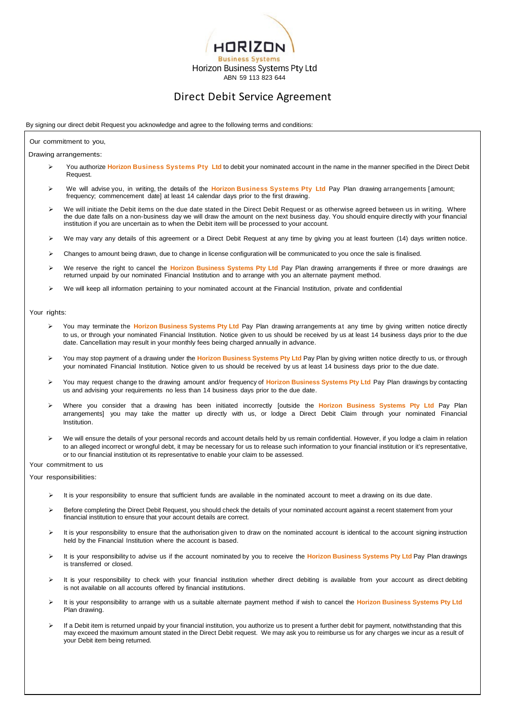

# Direct Debit Service Agreement

## By signing our direct debit Request you acknowledge and agree to the following terms and conditions:

#### Our commitment to you,

Drawing arrangements:

- You authorize **Horizon Business Systems Pty Ltd** to debit your nominated account in the name in the manner specified in the Direct Debit Request.
- We will advise you, in writing, the details of the **Horizon Business Systems Pty Ltd** Pay Plan drawing arrangements [ amount; frequency; commencement date] at least 14 calendar days prior to the first drawing.
- We will initiate the Debit items on the due date stated in the Direct Debit Request or as otherwise agreed between us in writing. Where the due date falls on a non-business day we will draw the amount on the next business day. You should enquire directly with your financial institution if you are uncertain as to when the Debit item will be processed to your account.
- ▶ We may vary any details of this agreement or a Direct Debit Request at any time by giving you at least fourteen (14) days written notice.
- Changes to amount being drawn, due to change in license configuration will be communicated to you once the sale is finalised.
- We reserve the right to cancel the **Horizon Business Systems Pty Ltd** Pay Plan drawing arrangements if three or more drawings are returned unpaid by our nominated Financial Institution and to arrange with you an alternate payment method.
- We will keep all information pertaining to your nominated account at the Financial Institution, private and confidential

## Your rights:

- You may terminate the **Horizon Business Systems Pty Ltd** Pay Plan drawing arrangements at any time by giving written notice directly to us, or through your nominated Financial Institution. Notice given to us should be received by us at least 14 business days prior to the due date. Cancellation may result in your monthly fees being charged annually in advance.
- You may stop payment of a drawing under the **Horizon Business Systems Pty Ltd** Pay Plan by giving written notice directly to us, or through your nominated Financial Institution. Notice given to us should be received by us at least 14 business days prior to the due date.
- You may request change to the drawing amount and/or frequency of **Horizon Business Systems Pty Ltd** Pay Plan drawings by contacting us and advising your requirements no less than 14 business days prior to the due date.
- Where you consider that a drawing has been initiated incorrectly [outside the **Horizon Business Systems Pty Ltd** Pay Plan arrangements] you may take the matter up directly with us, or lodge a Direct Debit Claim through your nominated Financial Institution.
- We will ensure the details of your personal records and account details held by us remain confidential. However, if you lodge a claim in relation to an alleged incorrect or wrongful debt, it may be necessary for us to release such information to your financial institution or it's representative, or to our financial institution ot its representative to enable your claim to be assessed.

Your commitment to us

Your responsibilities:

- It is your responsibility to ensure that sufficient funds are available in the nominated account to meet a drawing on its due date.
- Before completing the Direct Debit Request, you should check the details of your nominated account against a recent statement from your financial institution to ensure that your account details are correct.
- $\triangleright$  It is your responsibility to ensure that the authorisation given to draw on the nominated account is identical to the account signing instruction held by the Financial Institution where the account is based.
- It is your responsibility to advise us if the account nominated by you to receive the **Horizon Business Systems Pty Ltd** Pay Plan drawings is transferred or closed.
- It is your responsibility to check with your financial institution whether direct debiting is available from your account as direct debiting is not available on all accounts offered by financial institutions.
- It is your responsibility to arrange with us a suitable alternate payment method if wish to cancel the **Horizon Business Systems Pty Ltd** Plan drawing.
- $\triangleright$  If a Debit item is returned unpaid by your financial institution, you authorize us to present a further debit for payment, notwithstanding that this may exceed the maximum amount stated in the Direct Debit request. We may ask you to reimburse us for any charges we incur as a result of your Debit item being returned.